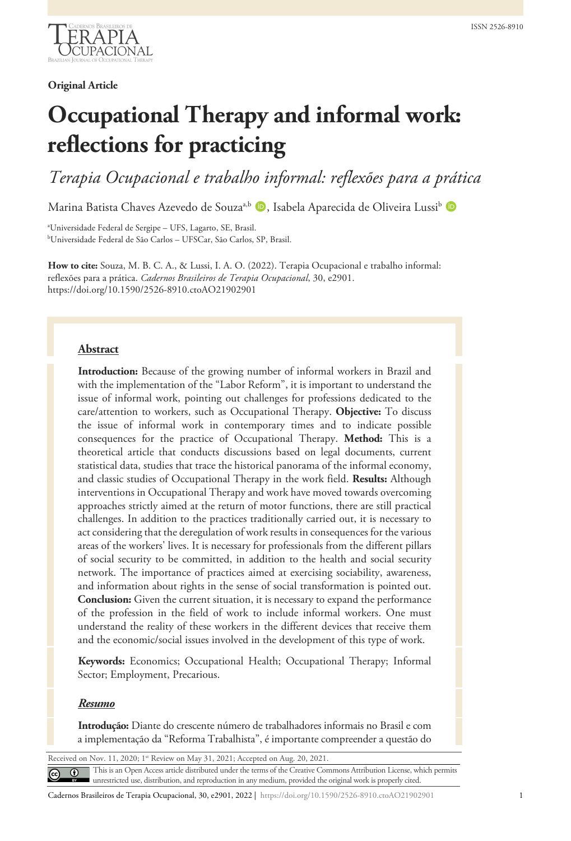

## **Original Article**

# **Occupational Therapy and informal work: reflections for practicing**

*Terapia Ocupacional e trabalho informal: reflexões para a prática*

Marina Batista Chaves Azevedo de Souza<sup>a,b</sup> D, Isabela Aparecida de Oliveira Lussi<sup>b</sup> D

a Universidade Federal de Sergipe – UFS, Lagarto, SE, Brasil. b Universidade Federal de São Carlos – UFSCar, São Carlos, SP, Brasil.

**How to cite:** Souza, M. B. C. A., & Lussi, I. A. O. (2022). Terapia Ocupacional e trabalho informal: reflexões para a prática. *Cadernos Brasileiros de Terapia Ocupacional*, 30, e2901. https://doi.org/10.1590/2526-8910.ctoAO21902901

## **Abstract**

**Introduction:** Because of the growing number of informal workers in Brazil and with the implementation of the "Labor Reform", it is important to understand the issue of informal work, pointing out challenges for professions dedicated to the care/attention to workers, such as Occupational Therapy. **Objective:** To discuss the issue of informal work in contemporary times and to indicate possible consequences for the practice of Occupational Therapy. **Method:** This is a theoretical article that conducts discussions based on legal documents, current statistical data, studies that trace the historical panorama of the informal economy, and classic studies of Occupational Therapy in the work field. **Results:** Although interventions in Occupational Therapy and work have moved towards overcoming approaches strictly aimed at the return of motor functions, there are still practical challenges. In addition to the practices traditionally carried out, it is necessary to act considering that the deregulation of work results in consequences for the various areas of the workers' lives. It is necessary for professionals from the different pillars of social security to be committed, in addition to the health and social security network. The importance of practices aimed at exercising sociability, awareness, and information about rights in the sense of social transformation is pointed out. **Conclusion:** Given the current situation, it is necessary to expand the performance of the profession in the field of work to include informal workers. One must understand the reality of these workers in the different devices that receive them and the economic/social issues involved in the development of this type of work.

**Keywords:** Economics; Occupational Health; Occupational Therapy; Informal Sector; Employment, Precarious.

### *Resumo*

**Introdução:** Diante do crescente número de trabalhadores informais no Brasil e com a implementação da "Reforma Trabalhista", é importante compreender a questão do

<span id="page-0-0"></span>Received on Nov. 11, 2020; 1<sup>st</sup> Review on May 31, 2021; Accepted on Aug. 20, 2021.

This is an Open Access article distributed under the terms of the Creative Commons Attribution License, which permits  $\odot$ unrestricted use, distribution, and reproduction in any medium, provided the original work is properly cited.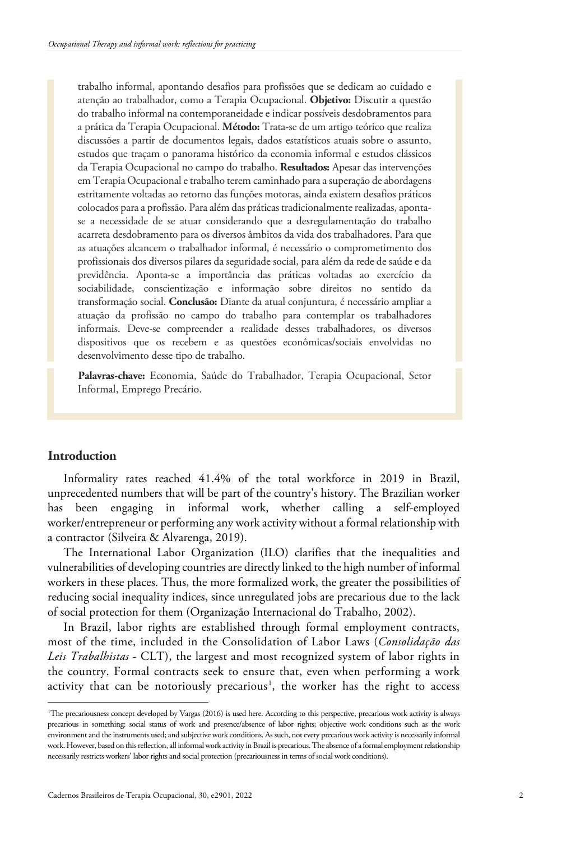trabalho informal, apontando desafios para profissões que se dedicam ao cuidado e atenção ao trabalhador, como a Terapia Ocupacional. **Objetivo:** Discutir a questão do trabalho informal na contemporaneidade e indicar possíveis desdobramentos para a prática da Terapia Ocupacional. **Método:** Trata-se de um artigo teórico que realiza discussões a partir de documentos legais, dados estatísticos atuais sobre o assunto, estudos que traçam o panorama histórico da economia informal e estudos clássicos da Terapia Ocupacional no campo do trabalho. **Resultados:** Apesar das intervenções em Terapia Ocupacionale trabalho terem caminhado para a superação de abordagens estritamente voltadas ao retorno das funções motoras, ainda existem desafios práticos colocados para a profissão. Para além das práticas tradicionalmente realizadas, apontase a necessidade de se atuar considerando que a desregulamentação do trabalho acarreta desdobramento para os diversos âmbitos da vida dos trabalhadores. Para que as atuações alcancem o trabalhador informal, é necessário o comprometimento dos profissionais dos diversos pilares da seguridade social, para além da rede de saúde e da previdência. Aponta-se a importância das práticas voltadas ao exercício da sociabilidade, conscientização e informação sobre direitos no sentido da transformação social. **Conclusão:** Diante da atual conjuntura, é necessário ampliar a atuação da profissão no campo do trabalho para contemplar os trabalhadores informais. Deve-se compreender a realidade desses trabalhadores, os diversos dispositivos que os recebem e as questões econômicas/sociais envolvidas no desenvolvimento desse tipo de trabalho.

**Palavras-chave:** Economia, Saúde do Trabalhador, Terapia Ocupacional, Setor Informal, Emprego Precário.

## **Introduction**

Informality rates reached 41.4% of the total workforce in 2019 in Brazil, unprecedented numbers that will be part of the country's history. The Brazilian worker has been engaging in informal work, whether calling a self-employed worker/entrepreneur or performing any work activity without a formal relationship with a contractor (Silveira & Alvarenga, 2019).

The International Labor Organization (ILO) clarifies that the inequalities and vulnerabilities of developing countries are directly linked to the high number of informal workers in these places. Thus, the more formalized work, the greater the possibilities of reducing social inequality indices, since unregulated jobs are precarious due to the lack of social protection for them (Organização Internacional do Trabalho, 2002).

In Brazil, labor rights are established through formal employment contracts, most of the time, included in the Consolidation of Labor Laws (*Consolidação das Leis Trabalhistas* - CLT), the largest and most recognized system of labor rights in the country. Formal contracts seek to ensure that, even when performing a work activity that can be notoriously precarious<sup>[1](#page-0-0)</sup>, the worker has the right to access

<sup>1</sup> The precariousness concept developed by Vargas (2016) is used here. According to this perspective, precarious work activity is always precarious in something: social status of work and presence/absence of labor rights; objective work conditions such as the work environment and the instruments used; and subjective work conditions. As such, not every precarious work activity is necessarily informal work. However, based on this reflection, all informal work activity in Brazil is precarious. The absence of a formal employment relationship necessarily restricts workers' labor rights and social protection (precariousness in terms of social work conditions).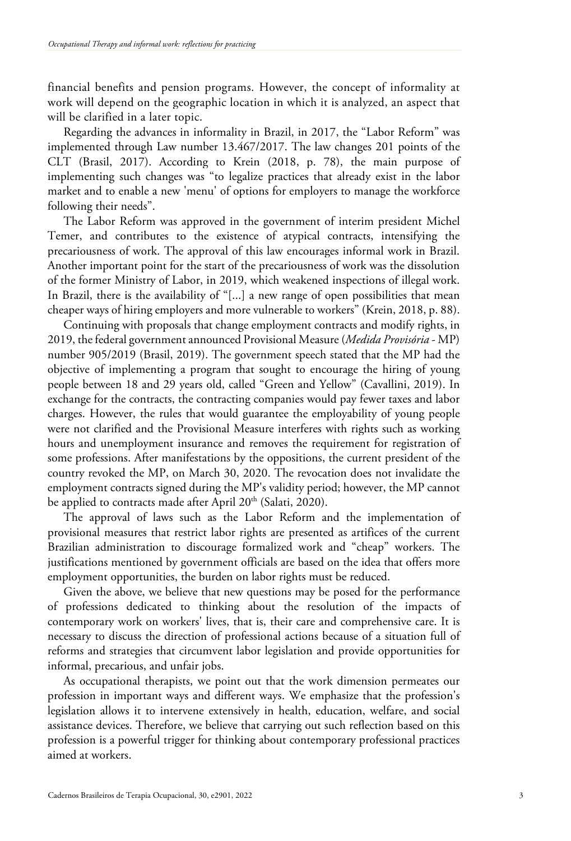financial benefits and pension programs. However, the concept of informality at work will depend on the geographic location in which it is analyzed, an aspect that will be clarified in a later topic.

Regarding the advances in informality in Brazil, in 2017, the "Labor Reform" was implemented through Law number 13.467/2017. The law changes 201 points of the CLT (Brasil, 2017). According to Krein (2018, p. 78), the main purpose of implementing such changes was "to legalize practices that already exist in the labor market and to enable a new 'menu' of options for employers to manage the workforce following their needs".

The Labor Reform was approved in the government of interim president Michel Temer, and contributes to the existence of atypical contracts, intensifying the precariousness of work. The approval of this law encourages informal work in Brazil. Another important point for the start of the precariousness of work was the dissolution of the former Ministry of Labor, in 2019, which weakened inspections of illegal work. In Brazil, there is the availability of "[...] a new range of open possibilities that mean cheaper ways of hiring employers and more vulnerable to workers" (Krein, 2018, p. 88).

Continuing with proposals that change employment contracts and modify rights, in 2019, the federal government announced Provisional Measure (*Medida Provisória* - MP) number 905/2019 (Brasil, 2019). The government speech stated that the MP had the objective of implementing a program that sought to encourage the hiring of young people between 18 and 29 years old, called "Green and Yellow" (Cavallini, 2019). In exchange for the contracts, the contracting companies would pay fewer taxes and labor charges. However, the rules that would guarantee the employability of young people were not clarified and the Provisional Measure interferes with rights such as working hours and unemployment insurance and removes the requirement for registration of some professions. After manifestations by the oppositions, the current president of the country revoked the MP, on March 30, 2020. The revocation does not invalidate the employment contracts signed during the MP's validity period; however, the MP cannot be applied to contracts made after April 20<sup>th</sup> (Salati, 2020).

The approval of laws such as the Labor Reform and the implementation of provisional measures that restrict labor rights are presented as artifices of the current Brazilian administration to discourage formalized work and "cheap" workers. The justifications mentioned by government officials are based on the idea that offers more employment opportunities, the burden on labor rights must be reduced.

Given the above, we believe that new questions may be posed for the performance of professions dedicated to thinking about the resolution of the impacts of contemporary work on workers' lives, that is, their care and comprehensive care. It is necessary to discuss the direction of professional actions because of a situation full of reforms and strategies that circumvent labor legislation and provide opportunities for informal, precarious, and unfair jobs.

As occupational therapists, we point out that the work dimension permeates our profession in important ways and different ways. We emphasize that the profession's legislation allows it to intervene extensively in health, education, welfare, and social assistance devices. Therefore, we believe that carrying out such reflection based on this profession is a powerful trigger for thinking about contemporary professional practices aimed at workers.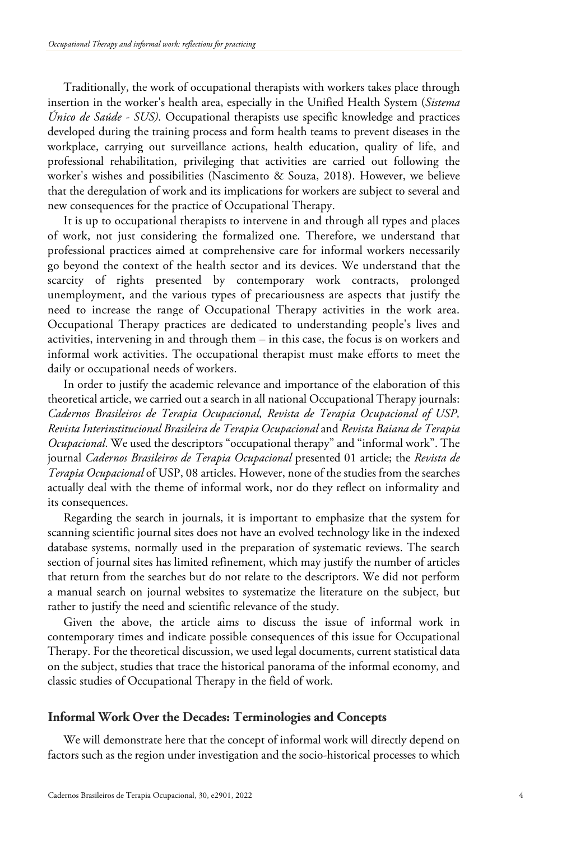Traditionally, the work of occupational therapists with workers takes place through insertion in the worker's health area, especially in the Unified Health System (*Sistema Único de Saúde - SUS)*. Occupational therapists use specific knowledge and practices developed during the training process and form health teams to prevent diseases in the workplace, carrying out surveillance actions, health education, quality of life, and professional rehabilitation, privileging that activities are carried out following the worker's wishes and possibilities (Nascimento & Souza, 2018). However, we believe that the deregulation of work and its implications for workers are subject to several and new consequences for the practice of Occupational Therapy.

It is up to occupational therapists to intervene in and through all types and places of work, not just considering the formalized one. Therefore, we understand that professional practices aimed at comprehensive care for informal workers necessarily go beyond the context of the health sector and its devices. We understand that the scarcity of rights presented by contemporary work contracts, prolonged unemployment, and the various types of precariousness are aspects that justify the need to increase the range of Occupational Therapy activities in the work area. Occupational Therapy practices are dedicated to understanding people's lives and activities, intervening in and through them – in this case, the focus is on workers and informal work activities. The occupational therapist must make efforts to meet the daily or occupational needs of workers.

In order to justify the academic relevance and importance of the elaboration of this theoretical article, we carried out a search in all national Occupational Therapy journals: *Cadernos Brasileiros de Terapia Ocupacional, Revista de Terapia Ocupacional of USP, Revista Interinstitucional Brasileira de Terapia Ocupacional* and *Revista Baiana de Terapia Ocupacional*. We used the descriptors "occupational therapy" and "informal work". The journal *Cadernos Brasileiros de Terapia Ocupacional* presented 01 article; the *Revista de Terapia Ocupacional* of USP, 08 articles. However, none of the studies from the searches actually deal with the theme of informal work, nor do they reflect on informality and its consequences.

Regarding the search in journals, it is important to emphasize that the system for scanning scientific journal sites does not have an evolved technology like in the indexed database systems, normally used in the preparation of systematic reviews. The search section of journal sites has limited refinement, which may justify the number of articles that return from the searches but do not relate to the descriptors. We did not perform a manual search on journal websites to systematize the literature on the subject, but rather to justify the need and scientific relevance of the study.

Given the above, the article aims to discuss the issue of informal work in contemporary times and indicate possible consequences of this issue for Occupational Therapy. For the theoretical discussion, we used legal documents, current statistical data on the subject, studies that trace the historical panorama of the informal economy, and classic studies of Occupational Therapy in the field of work.

## **Informal Work Over the Decades: Terminologies and Concepts**

We will demonstrate here that the concept of informal work will directly depend on factors such as the region under investigation and the socio-historical processes to which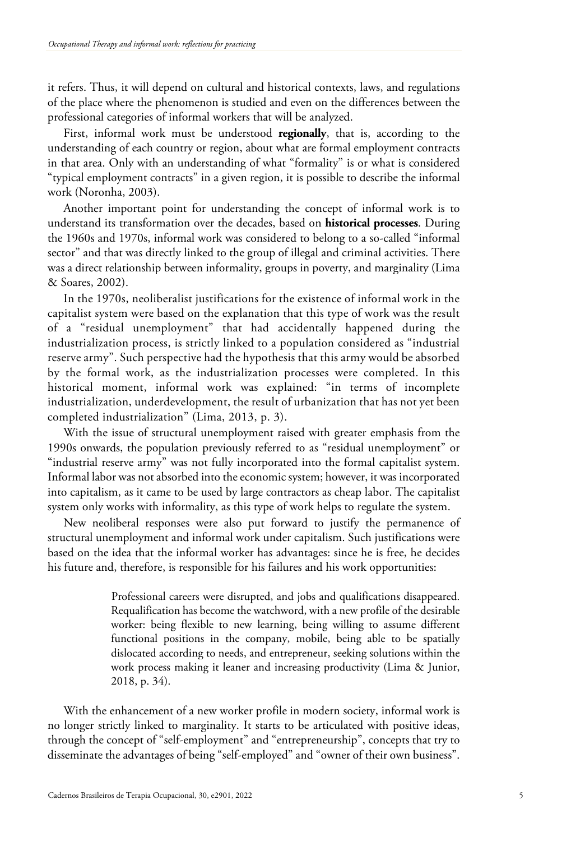it refers. Thus, it will depend on cultural and historical contexts, laws, and regulations of the place where the phenomenon is studied and even on the differences between the professional categories of informal workers that will be analyzed.

First, informal work must be understood **regionally**, that is, according to the understanding of each country or region, about what are formal employment contracts in that area. Only with an understanding of what "formality" is or what is considered "typical employment contracts" in a given region, it is possible to describe the informal work (Noronha, 2003).

Another important point for understanding the concept of informal work is to understand its transformation over the decades, based on **historical processes**. During the 1960s and 1970s, informal work was considered to belong to a so-called "informal sector" and that was directly linked to the group of illegal and criminal activities. There was a direct relationship between informality, groups in poverty, and marginality (Lima & Soares, 2002).

In the 1970s, neoliberalist justifications for the existence of informal work in the capitalist system were based on the explanation that this type of work was the result of a "residual unemployment" that had accidentally happened during the industrialization process, is strictly linked to a population considered as "industrial reserve army". Such perspective had the hypothesis that this army would be absorbed by the formal work, as the industrialization processes were completed. In this historical moment, informal work was explained: "in terms of incomplete industrialization, underdevelopment, the result of urbanization that has not yet been completed industrialization" (Lima, 2013, p. 3).

With the issue of structural unemployment raised with greater emphasis from the 1990s onwards, the population previously referred to as "residual unemployment" or "industrial reserve army" was not fully incorporated into the formal capitalist system. Informal labor was not absorbed into the economic system; however, it was incorporated into capitalism, as it came to be used by large contractors as cheap labor. The capitalist system only works with informality, as this type of work helps to regulate the system.

New neoliberal responses were also put forward to justify the permanence of structural unemployment and informal work under capitalism. Such justifications were based on the idea that the informal worker has advantages: since he is free, he decides his future and, therefore, is responsible for his failures and his work opportunities:

> Professional careers were disrupted, and jobs and qualifications disappeared. Requalification has become the watchword, with a new profile of the desirable worker: being flexible to new learning, being willing to assume different functional positions in the company, mobile, being able to be spatially dislocated according to needs, and entrepreneur, seeking solutions within the work process making it leaner and increasing productivity (Lima & Junior, 2018, p. 34).

With the enhancement of a new worker profile in modern society, informal work is no longer strictly linked to marginality. It starts to be articulated with positive ideas, through the concept of "self-employment" and "entrepreneurship", concepts that try to disseminate the advantages of being "self-employed" and "owner of their own business".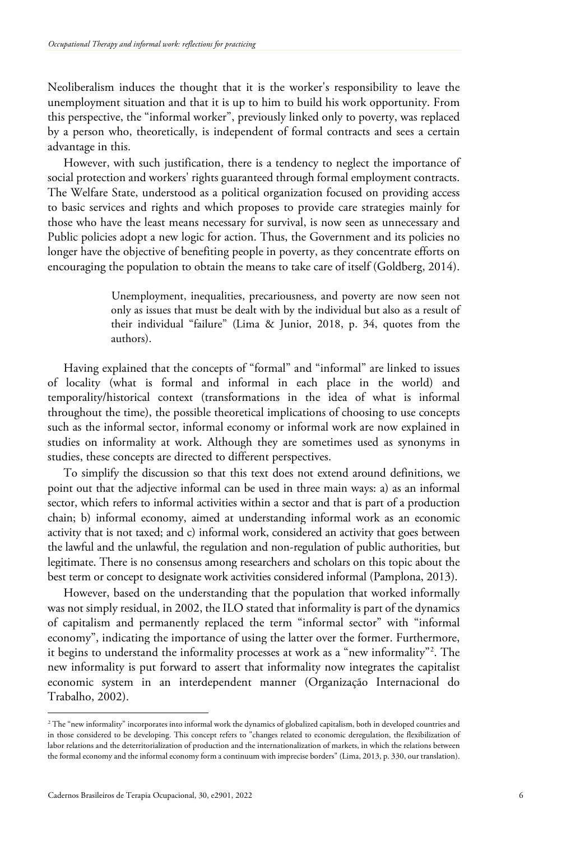Neoliberalism induces the thought that it is the worker's responsibility to leave the unemployment situation and that it is up to him to build his work opportunity. From this perspective, the "informal worker", previously linked only to poverty, was replaced by a person who, theoretically, is independent of formal contracts and sees a certain advantage in this.

However, with such justification, there is a tendency to neglect the importance of social protection and workers' rights guaranteed through formal employment contracts. The Welfare State, understood as a political organization focused on providing access to basic services and rights and which proposes to provide care strategies mainly for those who have the least means necessary for survival, is now seen as unnecessary and Public policies adopt a new logic for action. Thus, the Government and its policies no longer have the objective of benefiting people in poverty, as they concentrate efforts on encouraging the population to obtain the means to take care of itself (Goldberg, 2014).

> Unemployment, inequalities, precariousness, and poverty are now seen not only as issues that must be dealt with by the individual but also as a result of their individual "failure" (Lima & Junior, 2018, p. 34, quotes from the authors).

Having explained that the concepts of "formal" and "informal" are linked to issues of locality (what is formal and informal in each place in the world) and temporality/historical context (transformations in the idea of what is informal throughout the time), the possible theoretical implications of choosing to use concepts such as the informal sector, informal economy or informal work are now explained in studies on informality at work. Although they are sometimes used as synonyms in studies, these concepts are directed to different perspectives.

To simplify the discussion so that this text does not extend around definitions, we point out that the adjective informal can be used in three main ways: a) as an informal sector, which refers to informal activities within a sector and that is part of a production chain; b) informal economy, aimed at understanding informal work as an economic activity that is not taxed; and c) informal work, considered an activity that goes between the lawful and the unlawful, the regulation and non-regulation of public authorities, but legitimate. There is no consensus among researchers and scholars on this topic about the best term or concept to designate work activities considered informal (Pamplona, 2013).

However, based on the understanding that the population that worked informally was not simply residual, in 2002, the ILO stated that informality is part of the dynamics of capitalism and permanently replaced the term "informal sector" with "informal economy", indicating the importance of using the latter over the former. Furthermore, it begins to understand the informality processes at work as a "new informality"[2](#page-5-0) . The new informality is put forward to assert that informality now integrates the capitalist economic system in an interdependent manner (Organização Internacional do Trabalho, 2002).

<span id="page-5-0"></span><sup>&</sup>lt;sup>2</sup> The "new informality" incorporates into informal work the dynamics of globalized capitalism, both in developed countries and in those considered to be developing. This concept refers to "changes related to economic deregulation, the flexibilization of labor relations and the deterritorialization of production and the internationalization of markets, in which the relations between the formal economy and the informal economy form a continuum with imprecise borders" (Lima, 2013, p. 330, our translation).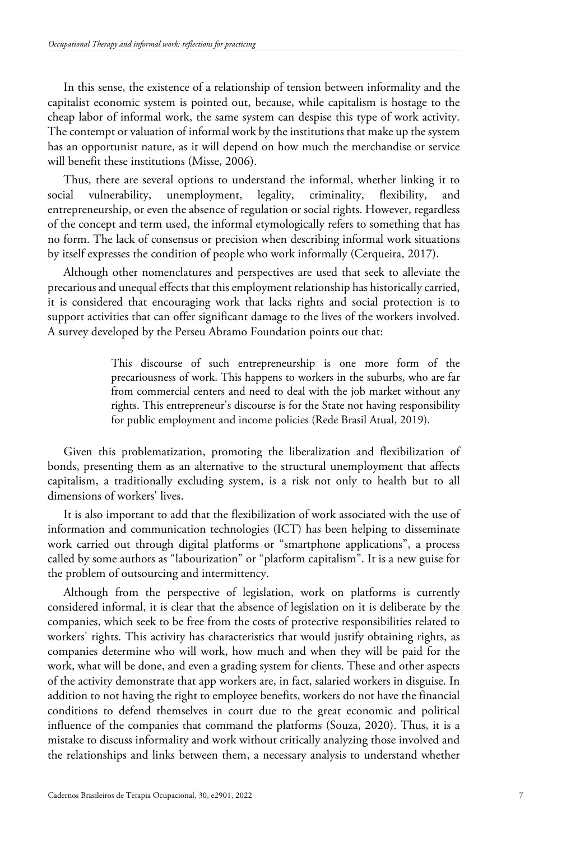In this sense, the existence of a relationship of tension between informality and the capitalist economic system is pointed out, because, while capitalism is hostage to the cheap labor of informal work, the same system can despise this type of work activity. The contempt or valuation of informal work by the institutions that make up the system has an opportunist nature, as it will depend on how much the merchandise or service will benefit these institutions (Misse, 2006).

Thus, there are several options to understand the informal, whether linking it to social vulnerability, unemployment, legality, criminality, flexibility, and entrepreneurship, or even the absence of regulation or social rights. However, regardless of the concept and term used, the informal etymologically refers to something that has no form. The lack of consensus or precision when describing informal work situations by itself expresses the condition of people who work informally (Cerqueira, 2017).

Although other nomenclatures and perspectives are used that seek to alleviate the precarious and unequal effects that this employment relationship has historically carried, it is considered that encouraging work that lacks rights and social protection is to support activities that can offer significant damage to the lives of the workers involved. A survey developed by the Perseu Abramo Foundation points out that:

> This discourse of such entrepreneurship is one more form of the precariousness of work. This happens to workers in the suburbs, who are far from commercial centers and need to deal with the job market without any rights. This entrepreneur's discourse is for the State not having responsibility for public employment and income policies (Rede Brasil Atual, 2019).

Given this problematization, promoting the liberalization and flexibilization of bonds, presenting them as an alternative to the structural unemployment that affects capitalism, a traditionally excluding system, is a risk not only to health but to all dimensions of workers' lives.

It is also important to add that the flexibilization of work associated with the use of information and communication technologies (ICT) has been helping to disseminate work carried out through digital platforms or "smartphone applications", a process called by some authors as "labourization" or "platform capitalism". It is a new guise for the problem of outsourcing and intermittency.

Although from the perspective of legislation, work on platforms is currently considered informal, it is clear that the absence of legislation on it is deliberate by the companies, which seek to be free from the costs of protective responsibilities related to workers' rights. This activity has characteristics that would justify obtaining rights, as companies determine who will work, how much and when they will be paid for the work, what will be done, and even a grading system for clients. These and other aspects of the activity demonstrate that app workers are, in fact, salaried workers in disguise. In addition to not having the right to employee benefits, workers do not have the financial conditions to defend themselves in court due to the great economic and political influence of the companies that command the platforms (Souza, 2020). Thus, it is a mistake to discuss informality and work without critically analyzing those involved and the relationships and links between them, a necessary analysis to understand whether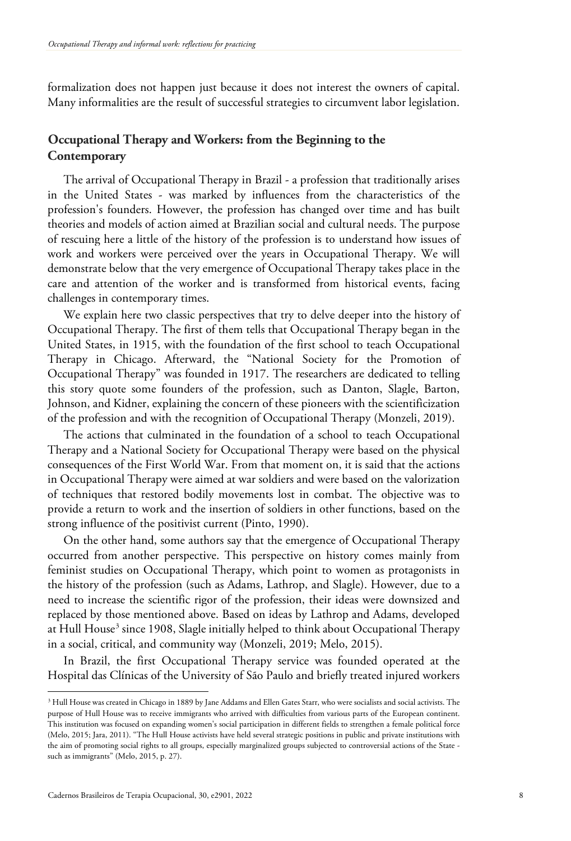formalization does not happen just because it does not interest the owners of capital. Many informalities are the result of successful strategies to circumvent labor legislation.

# **Occupational Therapy and Workers: from the Beginning to the Contemporary**

The arrival of Occupational Therapy in Brazil - a profession that traditionally arises in the United States - was marked by influences from the characteristics of the profession's founders. However, the profession has changed over time and has built theories and models of action aimed at Brazilian social and cultural needs. The purpose of rescuing here a little of the history of the profession is to understand how issues of work and workers were perceived over the years in Occupational Therapy. We will demonstrate below that the very emergence of Occupational Therapy takes place in the care and attention of the worker and is transformed from historical events, facing challenges in contemporary times.

We explain here two classic perspectives that try to delve deeper into the history of Occupational Therapy. The first of them tells that Occupational Therapy began in the United States, in 1915, with the foundation of the first school to teach Occupational Therapy in Chicago. Afterward, the "National Society for the Promotion of Occupational Therapy" was founded in 1917. The researchers are dedicated to telling this story quote some founders of the profession, such as Danton, Slagle, Barton, Johnson, and Kidner, explaining the concern of these pioneers with the scientificization of the profession and with the recognition of Occupational Therapy (Monzeli, 2019).

The actions that culminated in the foundation of a school to teach Occupational Therapy and a National Society for Occupational Therapy were based on the physical consequences of the First World War. From that moment on, it is said that the actions in Occupational Therapy were aimed at war soldiers and were based on the valorization of techniques that restored bodily movements lost in combat. The objective was to provide a return to work and the insertion of soldiers in other functions, based on the strong influence of the positivist current (Pinto, 1990).

On the other hand, some authors say that the emergence of Occupational Therapy occurred from another perspective. This perspective on history comes mainly from feminist studies on Occupational Therapy, which point to women as protagonists in the history of the profession (such as Adams, Lathrop, and Slagle). However, due to a need to increase the scientific rigor of the profession, their ideas were downsized and replaced by those mentioned above. Based on ideas by Lathrop and Adams, developed at Hull House<sup>[3](#page-7-0)</sup> since 1908, Slagle initially helped to think about Occupational Therapy in a social, critical, and community way (Monzeli, 2019; Melo, 2015).

In Brazil, the first Occupational Therapy service was founded operated at the Hospital das Clínicas of the University of São Paulo and briefly treated injured workers

<span id="page-7-0"></span><sup>&</sup>lt;sup>3</sup> Hull House was created in Chicago in 1889 by Jane Addams and Ellen Gates Starr, who were socialists and social activists. The purpose of Hull House was to receive immigrants who arrived with difficulties from various parts of the European continent. This institution was focused on expanding women's social participation in different fields to strengthen a female political force (Melo, 2015; Jara, 2011). "The Hull House activists have held several strategic positions in public and private institutions with the aim of promoting social rights to all groups, especially marginalized groups subjected to controversial actions of the State such as immigrants" (Melo, 2015, p. 27).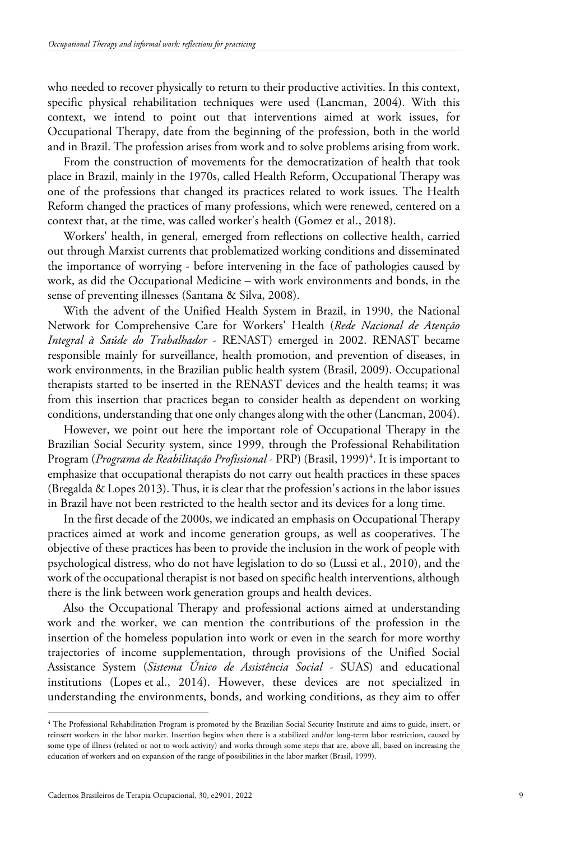who needed to recover physically to return to their productive activities. In this context, specific physical rehabilitation techniques were used (Lancman, 2004). With this context, we intend to point out that interventions aimed at work issues, for Occupational Therapy, date from the beginning of the profession, both in the world and in Brazil. The profession arises from work and to solve problems arising from work.

From the construction of movements for the democratization of health that took place in Brazil, mainly in the 1970s, called Health Reform, Occupational Therapy was one of the professions that changed its practices related to work issues. The Health Reform changed the practices of many professions, which were renewed, centered on a context that, at the time, was called worker's health (Gomez et al., 2018).

Workers' health, in general, emerged from reflections on collective health, carried out through Marxist currents that problematized working conditions and disseminated the importance of worrying - before intervening in the face of pathologies caused by work, as did the Occupational Medicine – with work environments and bonds, in the sense of preventing illnesses (Santana & Silva, 2008).

With the advent of the Unified Health System in Brazil, in 1990, the National Network for Comprehensive Care for Workers' Health (*Rede Nacional de Atenção Integral à Saúde do Trabalhador* - RENAST) emerged in 2002. RENAST became responsible mainly for surveillance, health promotion, and prevention of diseases, in work environments, in the Brazilian public health system (Brasil, 2009). Occupational therapists started to be inserted in the RENAST devices and the health teams; it was from this insertion that practices began to consider health as dependent on working conditions, understanding that one only changes along with the other (Lancman, 2004).

However, we point out here the important role of Occupational Therapy in the Brazilian Social Security system, since 1999, through the Professional Rehabilitation Program (*Programa de Reabilitação Profissional* - PRP) (Brasil, 1999) [4](#page-8-0) . It is important to emphasize that occupational therapists do not carry out health practices in these spaces (Bregalda & Lopes 2013). Thus, it is clear that the profession's actions in the labor issues in Brazil have not been restricted to the health sector and its devices for a long time.

In the first decade of the 2000s, we indicated an emphasis on Occupational Therapy practices aimed at work and income generation groups, as well as cooperatives. The objective of these practices has been to provide the inclusion in the work of people with psychological distress, who do not have legislation to do so (Lussi et al., 2010), and the work of the occupational therapist is not based on specific health interventions, although there is the link between work generation groups and health devices.

Also the Occupational Therapy and professional actions aimed at understanding work and the worker, we can mention the contributions of the profession in the insertion of the homeless population into work or even in the search for more worthy trajectories of income supplementation, through provisions of the Unified Social Assistance System (*Sistema Único de Assistência Social* - SUAS) and educational institutions (Lopes et al., 2014). However, these devices are not specialized in understanding the environments, bonds, and working conditions, as they aim to offer

<span id="page-8-0"></span><sup>4</sup> The Professional Rehabilitation Program is promoted by the Brazilian Social Security Institute and aims to guide, insert, or reinsert workers in the labor market. Insertion begins when there is a stabilized and/or long-term labor restriction, caused by some type of illness (related or not to work activity) and works through some steps that are, above all, based on increasing the education of workers and on expansion of the range of possibilities in the labor market (Brasil, 1999).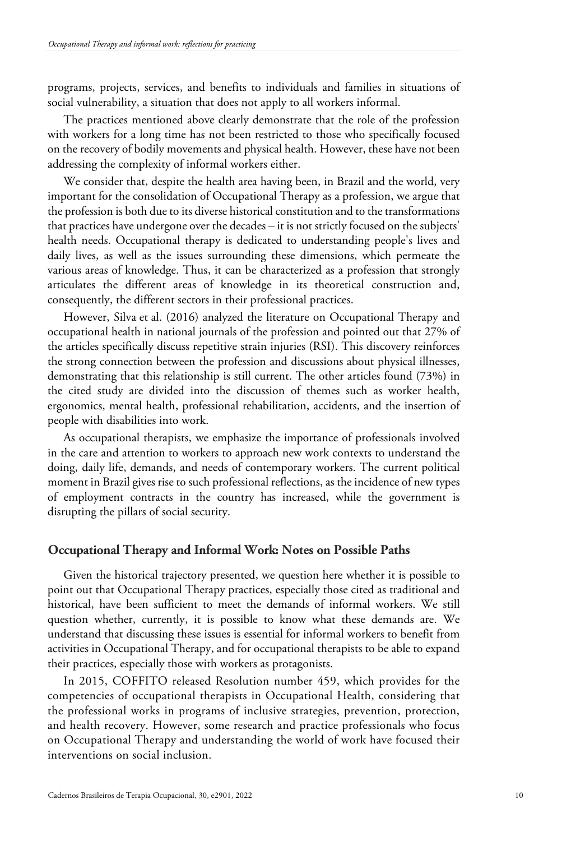programs, projects, services, and benefits to individuals and families in situations of social vulnerability, a situation that does not apply to all workers informal.

The practices mentioned above clearly demonstrate that the role of the profession with workers for a long time has not been restricted to those who specifically focused on the recovery of bodily movements and physical health. However, these have not been addressing the complexity of informal workers either.

We consider that, despite the health area having been, in Brazil and the world, very important for the consolidation of Occupational Therapy as a profession, we argue that the profession is both due to its diverse historical constitution and to the transformations that practices have undergone over the decades ‒ it is not strictly focused on the subjects' health needs. Occupational therapy is dedicated to understanding people's lives and daily lives, as well as the issues surrounding these dimensions, which permeate the various areas of knowledge. Thus, it can be characterized as a profession that strongly articulates the different areas of knowledge in its theoretical construction and, consequently, the different sectors in their professional practices.

However, Silva et al. (2016) analyzed the literature on Occupational Therapy and occupational health in national journals of the profession and pointed out that 27% of the articles specifically discuss repetitive strain injuries (RSI). This discovery reinforces the strong connection between the profession and discussions about physical illnesses, demonstrating that this relationship is still current. The other articles found (73%) in the cited study are divided into the discussion of themes such as worker health, ergonomics, mental health, professional rehabilitation, accidents, and the insertion of people with disabilities into work.

As occupational therapists, we emphasize the importance of professionals involved in the care and attention to workers to approach new work contexts to understand the doing, daily life, demands, and needs of contemporary workers. The current political moment in Brazil gives rise to such professional reflections, as the incidence of new types of employment contracts in the country has increased, while the government is disrupting the pillars of social security.

## **Occupational Therapy and Informal Work: Notes on Possible Paths**

Given the historical trajectory presented, we question here whether it is possible to point out that Occupational Therapy practices, especially those cited as traditional and historical, have been sufficient to meet the demands of informal workers. We still question whether, currently, it is possible to know what these demands are. We understand that discussing these issues is essential for informal workers to benefit from activities in Occupational Therapy, and for occupational therapists to be able to expand their practices, especially those with workers as protagonists.

In 2015, COFFITO released Resolution number 459, which provides for the competencies of occupational therapists in Occupational Health, considering that the professional works in programs of inclusive strategies, prevention, protection, and health recovery. However, some research and practice professionals who focus on Occupational Therapy and understanding the world of work have focused their interventions on social inclusion.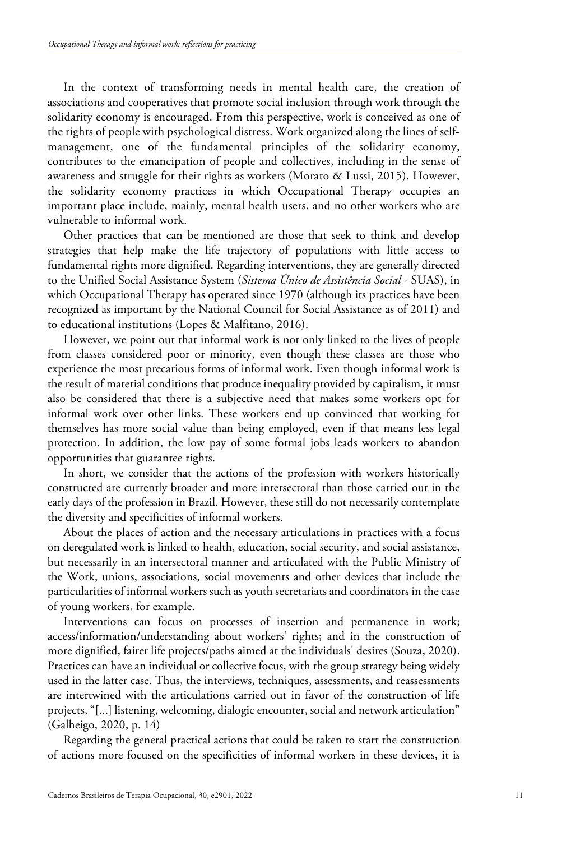In the context of transforming needs in mental health care, the creation of associations and cooperatives that promote social inclusion through work through the solidarity economy is encouraged. From this perspective, work is conceived as one of the rights of people with psychological distress. Work organized along the lines of selfmanagement, one of the fundamental principles of the solidarity economy, contributes to the emancipation of people and collectives, including in the sense of awareness and struggle for their rights as workers (Morato & Lussi, 2015). However, the solidarity economy practices in which Occupational Therapy occupies an important place include, mainly, mental health users, and no other workers who are vulnerable to informal work.

Other practices that can be mentioned are those that seek to think and develop strategies that help make the life trajectory of populations with little access to fundamental rights more dignified. Regarding interventions, they are generally directed to the Unified Social Assistance System (*Sistema Único de Assistência Social* - SUAS), in which Occupational Therapy has operated since 1970 (although its practices have been recognized as important by the National Council for Social Assistance as of 2011) and to educational institutions (Lopes & Malfitano, 2016).

However, we point out that informal work is not only linked to the lives of people from classes considered poor or minority, even though these classes are those who experience the most precarious forms of informal work. Even though informal work is the result of material conditions that produce inequality provided by capitalism, it must also be considered that there is a subjective need that makes some workers opt for informal work over other links. These workers end up convinced that working for themselves has more social value than being employed, even if that means less legal protection. In addition, the low pay of some formal jobs leads workers to abandon opportunities that guarantee rights.

In short, we consider that the actions of the profession with workers historically constructed are currently broader and more intersectoral than those carried out in the early days of the profession in Brazil. However, these still do not necessarily contemplate the diversity and specificities of informal workers.

About the places of action and the necessary articulations in practices with a focus on deregulated work is linked to health, education, social security, and social assistance, but necessarily in an intersectoral manner and articulated with the Public Ministry of the Work, unions, associations, social movements and other devices that include the particularities of informal workers such as youth secretariats and coordinators in the case of young workers, for example.

Interventions can focus on processes of insertion and permanence in work; access/information/understanding about workers' rights; and in the construction of more dignified, fairer life projects/paths aimed at the individuals' desires (Souza, 2020). Practices can have an individual or collective focus, with the group strategy being widely used in the latter case. Thus, the interviews, techniques, assessments, and reassessments are intertwined with the articulations carried out in favor of the construction of life projects, "[...] listening, welcoming, dialogic encounter, social and network articulation" (Galheigo, 2020, p. 14)

Regarding the general practical actions that could be taken to start the construction of actions more focused on the specificities of informal workers in these devices, it is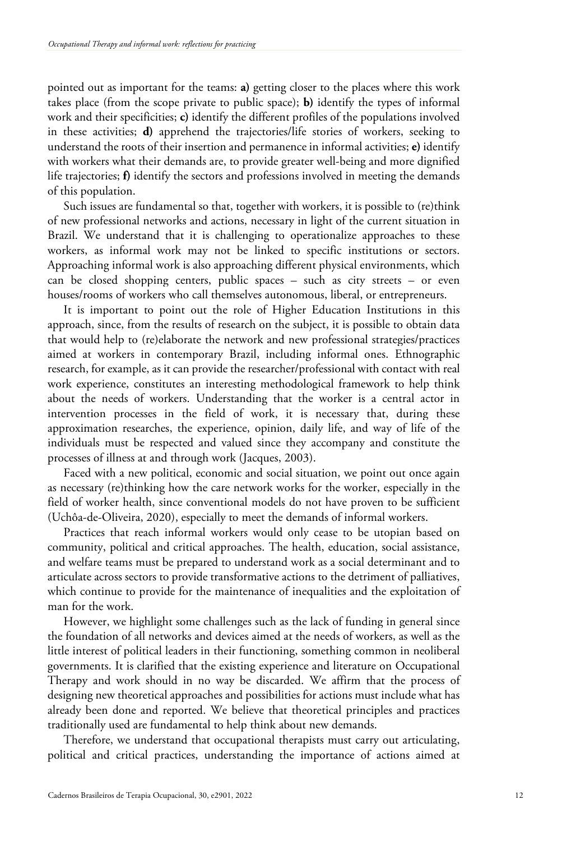pointed out as important for the teams: **a)** getting closer to the places where this work takes place (from the scope private to public space); **b)** identify the types of informal work and their specificities; **c)** identify the different profiles of the populations involved in these activities; **d)** apprehend the trajectories/life stories of workers, seeking to understand the roots of their insertion and permanence in informal activities; **e)** identify with workers what their demands are, to provide greater well-being and more dignified life trajectories; **f)** identify the sectors and professions involved in meeting the demands of this population.

Such issues are fundamental so that, together with workers, it is possible to (re)think of new professional networks and actions, necessary in light of the current situation in Brazil. We understand that it is challenging to operationalize approaches to these workers, as informal work may not be linked to specific institutions or sectors. Approaching informal work is also approaching different physical environments, which can be closed shopping centers, public spaces – such as city streets – or even houses/rooms of workers who call themselves autonomous, liberal, or entrepreneurs.

It is important to point out the role of Higher Education Institutions in this approach, since, from the results of research on the subject, it is possible to obtain data that would help to (re)elaborate the network and new professional strategies/practices aimed at workers in contemporary Brazil, including informal ones. Ethnographic research, for example, as it can provide the researcher/professional with contact with real work experience, constitutes an interesting methodological framework to help think about the needs of workers. Understanding that the worker is a central actor in intervention processes in the field of work, it is necessary that, during these approximation researches, the experience, opinion, daily life, and way of life of the individuals must be respected and valued since they accompany and constitute the processes of illness at and through work (Jacques, 2003).

Faced with a new political, economic and social situation, we point out once again as necessary (re)thinking how the care network works for the worker, especially in the field of worker health, since conventional models do not have proven to be sufficient (Uchôa-de-Oliveira, 2020), especially to meet the demands of informal workers.

Practices that reach informal workers would only cease to be utopian based on community, political and critical approaches. The health, education, social assistance, and welfare teams must be prepared to understand work as a social determinant and to articulate across sectors to provide transformative actions to the detriment of palliatives, which continue to provide for the maintenance of inequalities and the exploitation of man for the work.

However, we highlight some challenges such as the lack of funding in general since the foundation of all networks and devices aimed at the needs of workers, as well as the little interest of political leaders in their functioning, something common in neoliberal governments. It is clarified that the existing experience and literature on Occupational Therapy and work should in no way be discarded. We affirm that the process of designing new theoretical approaches and possibilities for actions must include what has already been done and reported. We believe that theoretical principles and practices traditionally used are fundamental to help think about new demands.

Therefore, we understand that occupational therapists must carry out articulating, political and critical practices, understanding the importance of actions aimed at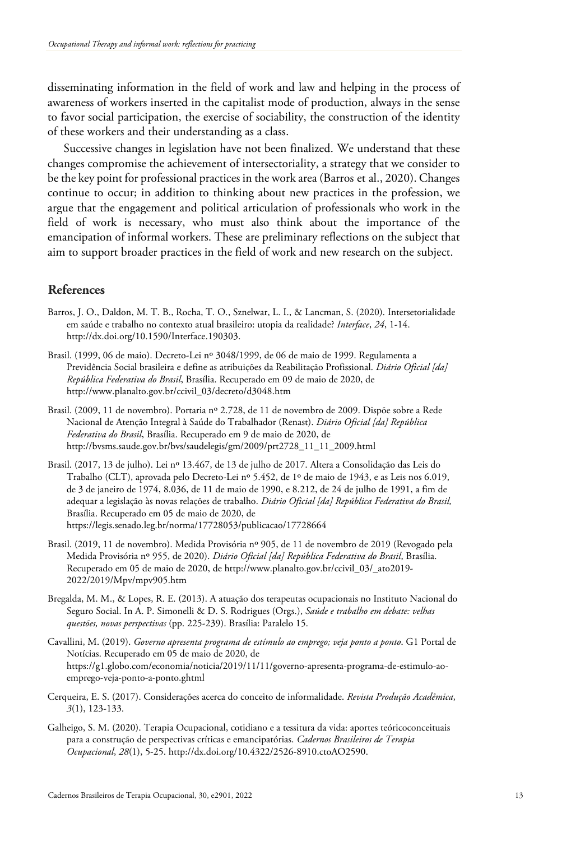disseminating information in the field of work and law and helping in the process of awareness of workers inserted in the capitalist mode of production, always in the sense to favor social participation, the exercise of sociability, the construction of the identity of these workers and their understanding as a class.

Successive changes in legislation have not been finalized. We understand that these changes compromise the achievement of intersectoriality, a strategy that we consider to be the key point for professional practices in the work area (Barros et al., 2020). Changes continue to occur; in addition to thinking about new practices in the profession, we argue that the engagement and political articulation of professionals who work in the field of work is necessary, who must also think about the importance of the emancipation of informal workers. These are preliminary reflections on the subject that aim to support broader practices in the field of work and new research on the subject.

## **References**

- Barros, J. O., Daldon, M. T. B., Rocha, T. O., Sznelwar, L. I., & Lancman, S. (2020). Intersetorialidade em saúde e trabalho no contexto atual brasileiro: utopia da realidade? *Interface*, *24*, 1-14. http://dx.doi.org/10.1590/Interface.190303.
- Brasil. (1999, 06 de maio). Decreto-Lei nº 3048/1999, de 06 de maio de 1999. Regulamenta a Previdência Social brasileira e define as atribuições da Reabilitação Profissional. *Diário Oficial [da] República Federativa do Brasil*, Brasília. Recuperado em 09 de maio de 2020, de http://www.planalto.gov.br/ccivil\_03/decreto/d3048.htm
- Brasil. (2009, 11 de novembro). Portaria nº 2.728, de 11 de novembro de 2009. Dispõe sobre a Rede Nacional de Atenção Integral à Saúde do Trabalhador (Renast). *Diário Oficial [da] República Federativa do Brasil*, Brasília. Recuperado em 9 de maio de 2020, de http://bvsms.saude.gov.br/bvs/saudelegis/gm/2009/prt2728\_11\_11\_2009.html
- Brasil. (2017, 13 de julho). Lei nº 13.467, de 13 de julho de 2017. Altera a Consolidação das Leis do Trabalho (CLT), aprovada pelo Decreto-Lei nº 5.452, de 1º de maio de 1943, e as Leis nos 6.019, de 3 de janeiro de 1974, 8.036, de 11 de maio de 1990, e 8.212, de 24 de julho de 1991, a fim de adequar a legislação às novas relações de trabalho. *Diário Oficial [da] República Federativa do Brasil,* Brasília. Recuperado em 05 de maio de 2020, de https://legis.senado.leg.br/norma/17728053/publicacao/17728664
- Brasil. (2019, 11 de novembro). Medida Provisória nº 905, de 11 de novembro de 2019 (Revogado pela Medida Provisória nº 955, de 2020). *Diário Oficial [da] República Federativa do Brasil*, Brasília. Recuperado em 05 de maio de 2020, de http://www.planalto.gov.br/ccivil\_03/\_ato2019- 2022/2019/Mpv/mpv905.htm
- Bregalda, M. M., & Lopes, R. E. (2013). A atuação dos terapeutas ocupacionais no Instituto Nacional do Seguro Social. In A. P. Simonelli & D. S. Rodrigues (Orgs.), *Saúde e trabalho em debate: velhas questões, novas perspectivas* (pp. 225-239). Brasília: Paralelo 15.
- Cavallini, M. (2019). *Governo apresenta programa de estímulo ao emprego; veja ponto a ponto*. G1 Portal de Notícias. Recuperado em 05 de maio de 2020, de https://g1.globo.com/economia/noticia/2019/11/11/governo-apresenta-programa-de-estimulo-aoemprego-veja-ponto-a-ponto.ghtml
- Cerqueira, E. S. (2017). Considerações acerca do conceito de informalidade. *Revista Produção Acadêmica*, *3*(1), 123-133.
- Galheigo, S. M. (2020). Terapia Ocupacional, cotidiano e a tessitura da vida: aportes teóricoconceituais para a construção de perspectivas críticas e emancipatórias. *Cadernos Brasileiros de Terapia Ocupacional*, *28*(1), 5-25. http://dx.doi.org/10.4322/2526-8910.ctoAO2590.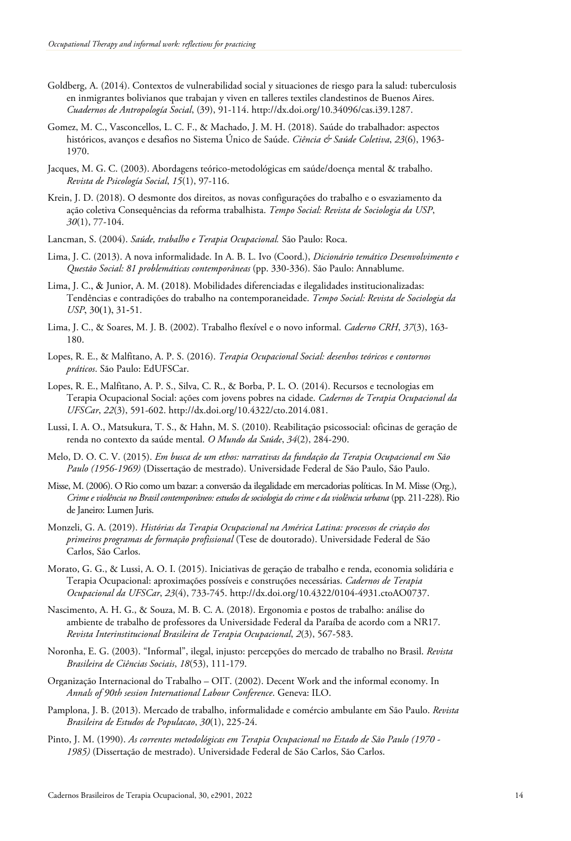- Goldberg, A. (2014). Contextos de vulnerabilidad social y situaciones de riesgo para la salud: tuberculosis en inmigrantes bolivianos que trabajan y viven en talleres textiles clandestinos de Buenos Aires. *Cuadernos de Antropología Social*, (39), 91-114. http://dx.doi.org/10.34096/cas.i39.1287.
- Gomez, M. C., Vasconcellos, L. C. F., & Machado, J. M. H. (2018). Saúde do trabalhador: aspectos históricos, avanços e desafios no Sistema Único de Saúde. *Ciência & Saúde Coletiva*, *23*(6), 1963- 1970.
- Jacques, M. G. C. (2003). Abordagens teórico-metodológicas em saúde/doença mental & trabalho. *Revista de Psicología Social*, *15*(1), 97-116.
- Krein, J. D. (2018). O desmonte dos direitos, as novas configurações do trabalho e o esvaziamento da ação coletiva Consequências da reforma trabalhista. *Tempo Social: Revista de Sociologia da USP*, *30*(1), 77-104.
- Lancman, S. (2004). *Saúde, trabalho e Terapia Ocupacional.* São Paulo: Roca.
- Lima, J. C. (2013). A nova informalidade. In A. B. L. Ivo (Coord.), *Dicionário temático Desenvolvimento e Questão Social: 81 problemáticas contemporâneas* (pp. 330-336). São Paulo: Annablume.
- Lima, J. C., & Junior, A. M. (2018). Mobilidades diferenciadas e ilegalidades institucionalizadas: Tendências e contradições do trabalho na contemporaneidade. *Tempo Social: Revista de Sociologia da USP*, 30(1), 31-51.
- Lima, J. C., & Soares, M. J. B. (2002). Trabalho flexível e o novo informal. *Caderno CRH*, *37*(3), 163- 180.
- Lopes, R. E., & Malfitano, A. P. S. (2016). *Terapia Ocupacional Social: desenhos teóricos e contornos práticos*. São Paulo: EdUFSCar.
- Lopes, R. E., Malfitano, A. P. S., Silva, C. R., & Borba, P. L. O. (2014). Recursos e tecnologias em Terapia Ocupacional Social: ações com jovens pobres na cidade. *Cadernos de Terapia Ocupacional da UFSCar*, *22*(3), 591-602. http://dx.doi.org/10.4322/cto.2014.081.
- Lussi, I. A. O., Matsukura, T. S., & Hahn, M. S. (2010). Reabilitação psicossocial: oficinas de geração de renda no contexto da saúde mental. *O Mundo da Saúde*, *34*(2), 284-290.
- Melo, D. O. C. V. (2015). *Em busca de um ethos: narrativas da fundação da Terapia Ocupacional em São Paulo (1956-1969)* (Dissertação de mestrado). Universidade Federal de São Paulo, São Paulo.
- Misse, M. (2006). O Rio como um bazar: a conversão da ilegalidade em mercadorias políticas. In M. Misse(Org.), *Crime e violência no Brasil contemporâneo: estudos de sociologia do crime e da violência urbana* (pp. 211-228). Rio de Janeiro: Lumen Juris.
- Monzeli, G. A. (2019). *Histórias da Terapia Ocupacional na América Latina: processos de criação dos primeiros programas de formação profissional* (Tese de doutorado). Universidade Federal de São Carlos, São Carlos.
- Morato, G. G., & Lussi, A. O. I. (2015). Iniciativas de geração de trabalho e renda, economia solidária e Terapia Ocupacional: aproximações possíveis e construções necessárias. *Cadernos de Terapia Ocupacional da UFSCar*, *23*(4), 733-745. http://dx.doi.org/10.4322/0104-4931.ctoAO0737.
- Nascimento, A. H. G., & Souza, M. B. C. A. (2018). Ergonomia e postos de trabalho: análise do ambiente de trabalho de professores da Universidade Federal da Paraíba de acordo com a NR17. *Revista Interinstitucional Brasileira de Terapia Ocupacional*, *2*(3), 567-583.
- Noronha, E. G. (2003). "Informal", ilegal, injusto: percepções do mercado de trabalho no Brasil. *Revista Brasileira de Ciências Sociais*, *18*(53), 111-179.
- Organização Internacional do Trabalho OIT. (2002). Decent Work and the informal economy. In *Annals of 90th session International Labour Conference*. Geneva: ILO.
- Pamplona, J. B. (2013). Mercado de trabalho, informalidade e comércio ambulante em São Paulo. *Revista Brasileira de Estudos de Populacao*, *30*(1), 225-24.
- Pinto, J. M. (1990). *As correntes metodológicas em Terapia Ocupacional no Estado de São Paulo (1970 - 1985)* (Dissertação de mestrado). Universidade Federal de São Carlos, São Carlos.